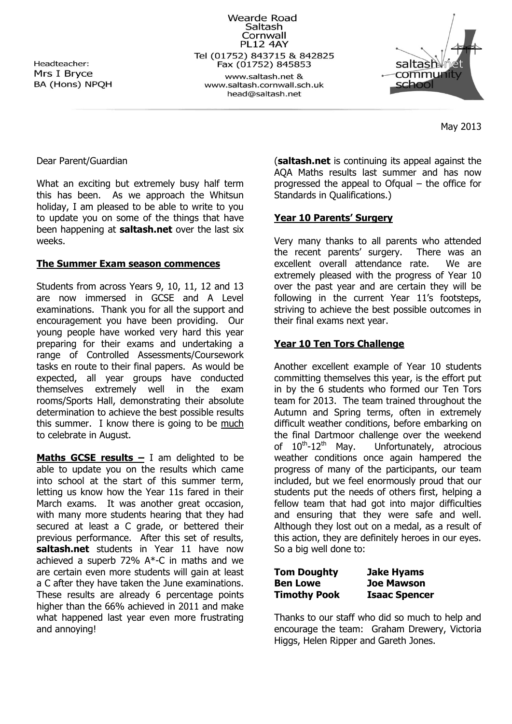Headteacher: Mrs I Bryce BA (Hons) NPOH

Wearde Road Saltash Cornwall **PL12 4AY** Tel (01752) 843715 & 842825 Fax (01752) 845853 www.saltash.net & www.saltash.cornwall.sch.uk head@saltash.net



May 2013

#### Dear Parent/Guardian

What an exciting but extremely busy half term this has been. As we approach the Whitsun holiday, I am pleased to be able to write to you to update you on some of the things that have been happening at **saltash.net** over the last six weeks.

#### **The Summer Exam season commences**

Students from across Years 9, 10, 11, 12 and 13 are now immersed in GCSE and A Level examinations. Thank you for all the support and encouragement you have been providing. Our young people have worked very hard this year preparing for their exams and undertaking a range of Controlled Assessments/Coursework tasks en route to their final papers. As would be expected, all year groups have conducted themselves extremely well in the exam rooms/Sports Hall, demonstrating their absolute determination to achieve the best possible results this summer. I know there is going to be much to celebrate in August.

**Maths GCSE results – I am delighted to be** able to update you on the results which came into school at the start of this summer term, letting us know how the Year 11s fared in their March exams. It was another great occasion, with many more students hearing that they had secured at least a C grade, or bettered their previous performance. After this set of results, **saltash.net** students in Year 11 have now achieved a superb 72% A\*-C in maths and we are certain even more students will gain at least a C after they have taken the June examinations. These results are already 6 percentage points higher than the 66% achieved in 2011 and make what happened last year even more frustrating and annoying!

(**saltash.net** is continuing its appeal against the AQA Maths results last summer and has now progressed the appeal to Ofgual  $-$  the office for Standards in Qualifications.)

#### **Year 10 Parents' Surgery**

Very many thanks to all parents who attended the recent parents' surgery. There was an excellent overall attendance rate. We are extremely pleased with the progress of Year 10 over the past year and are certain they will be following in the current Year 11's footsteps, striving to achieve the best possible outcomes in their final exams next year.

## **Year 10 Ten Tors Challenge**

Another excellent example of Year 10 students committing themselves this year, is the effort put in by the 6 students who formed our Ten Tors team for 2013. The team trained throughout the Autumn and Spring terms, often in extremely difficult weather conditions, before embarking on the final Dartmoor challenge over the weekend of  $10^{th}$ -12<sup>th</sup> May. Unfortunately, atrocious weather conditions once again hampered the progress of many of the participants, our team included, but we feel enormously proud that our students put the needs of others first, helping a fellow team that had got into major difficulties and ensuring that they were safe and well. Although they lost out on a medal, as a result of this action, they are definitely heroes in our eyes. So a big well done to:

| <b>Tom Doughty</b>  | <b>Jake Hyams</b>    |
|---------------------|----------------------|
| <b>Ben Lowe</b>     | <b>Joe Mawson</b>    |
| <b>Timothy Pook</b> | <b>Isaac Spencer</b> |

Thanks to our staff who did so much to help and encourage the team: Graham Drewery, Victoria Higgs, Helen Ripper and Gareth Jones.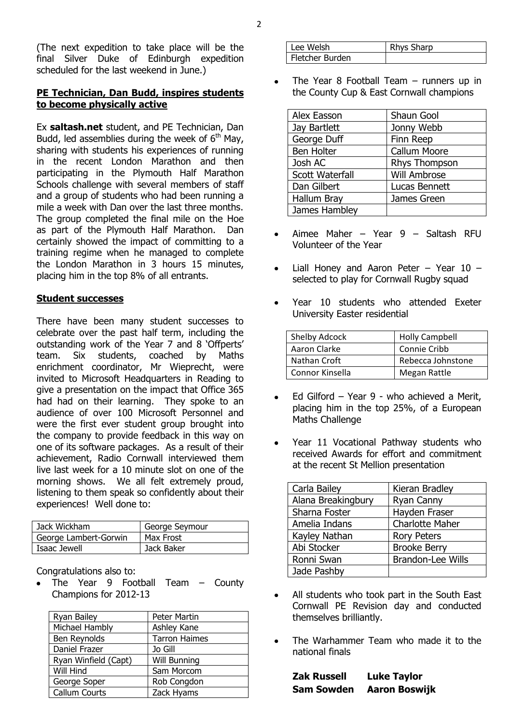(The next expedition to take place will be the final Silver Duke of Edinburgh expedition scheduled for the last weekend in June.)

### **PE Technician, Dan Budd, inspires students to become physically active**

Ex **saltash.net** student, and PE Technician, Dan Budd, led assemblies during the week of  $6<sup>th</sup>$  May, sharing with students his experiences of running in the recent London Marathon and then participating in the Plymouth Half Marathon Schools challenge with several members of staff and a group of students who had been running a mile a week with Dan over the last three months. The group completed the final mile on the Hoe as part of the Plymouth Half Marathon. Dan certainly showed the impact of committing to a training regime when he managed to complete the London Marathon in 3 hours 15 minutes, placing him in the top 8% of all entrants.

#### **Student successes**

There have been many student successes to celebrate over the past half term, including the outstanding work of the Year 7 and 8 'Offperts' team. Six students, coached by Maths enrichment coordinator, Mr Wieprecht, were invited to Microsoft Headquarters in Reading to give a presentation on the impact that Office 365 had had on their learning. They spoke to an audience of over 100 Microsoft Personnel and were the first ever student group brought into the company to provide feedback in this way on one of its software packages. As a result of their achievement, Radio Cornwall interviewed them live last week for a 10 minute slot on one of the morning shows. We all felt extremely proud, listening to them speak so confidently about their experiences! Well done to:

| Jack Wickham          | George Seymour |
|-----------------------|----------------|
| George Lambert-Gorwin | Max Frost      |
| Isaac Jewell          | Jack Baker     |

Congratulations also to:

The Year 9 Football Team – County Champions for 2012-13

| Ryan Bailey          | Peter Martin         |
|----------------------|----------------------|
| Michael Hambly       | Ashley Kane          |
| Ben Reynolds         | <b>Tarron Haimes</b> |
| Daniel Frazer        | Jo Gill              |
| Ryan Winfield (Capt) | <b>Will Bunning</b>  |
| Will Hind            | Sam Morcom           |
| George Soper         | Rob Congdon          |
| Callum Courts        | Zack Hyams           |

| Lee Welsh       | <b>Rhys Sharp</b> |
|-----------------|-------------------|
| Fletcher Burden |                   |

The Year 8 Football Team – runners up in the County Cup & East Cornwall champions

| Alex Easson            | Shaun Gool          |
|------------------------|---------------------|
| Jay Bartlett           | Jonny Webb          |
| George Duff            | Finn Reep           |
| Ben Holter             | <b>Callum Moore</b> |
| Josh AC                | Rhys Thompson       |
| <b>Scott Waterfall</b> | <b>Will Ambrose</b> |
| Dan Gilbert            | Lucas Bennett       |
| Hallum Bray            | James Green         |
| James Hambley          |                     |

- Aimee Maher Year 9 Saltash RFU Volunteer of the Year
- Liall Honey and Aaron Peter Year 10 selected to play for Cornwall Rugby squad
- Year 10 students who attended Exeter University Easter residential

| Shelby Adcock   | <b>Holly Campbell</b> |
|-----------------|-----------------------|
| Aaron Clarke    | Connie Cribb          |
| Nathan Croft    | Rebecca Johnstone     |
| Connor Kinsella | Megan Rattle          |

- Ed Gilford Year 9 who achieved a Merit, placing him in the top 25%, of a European Maths Challenge
- Year 11 Vocational Pathway students who received Awards for effort and commitment at the recent St Mellion presentation

| Carla Bailey       | Kieran Bradley           |
|--------------------|--------------------------|
| Alana Breakingbury | Ryan Canny               |
| Sharna Foster      | Hayden Fraser            |
| Amelia Indans      | <b>Charlotte Maher</b>   |
| Kayley Nathan      | <b>Rory Peters</b>       |
| Abi Stocker        | <b>Brooke Berry</b>      |
| Ronni Swan         | <b>Brandon-Lee Wills</b> |
| Jade Pashby        |                          |

- All students who took part in the South East Cornwall PE Revision day and conducted themselves brilliantly.
- The Warhammer Team who made it to the national finals

| <b>Zak Russell</b> | <b>Luke Taylor</b>   |
|--------------------|----------------------|
| <b>Sam Sowden</b>  | <b>Aaron Boswijk</b> |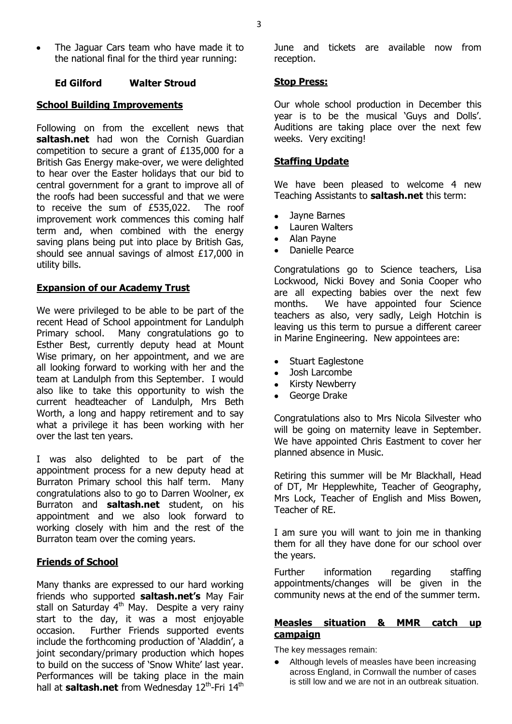The Jaguar Cars team who have made it to the national final for the third year running:

#### **Ed Gilford Walter Stroud**

#### **School Building Improvements**

Following on from the excellent news that **saltash.net** had won the Cornish Guardian competition to secure a grant of £135,000 for a British Gas Energy make-over, we were delighted to hear over the Easter holidays that our bid to central government for a grant to improve all of the roofs had been successful and that we were to receive the sum of £535,022. The roof improvement work commences this coming half term and, when combined with the energy saving plans being put into place by British Gas, should see annual savings of almost £17,000 in utility bills.

#### **Expansion of our Academy Trust**

We were privileged to be able to be part of the recent Head of School appointment for Landulph Primary school. Many congratulations go to Esther Best, currently deputy head at Mount Wise primary, on her appointment, and we are all looking forward to working with her and the team at Landulph from this September. I would also like to take this opportunity to wish the current headteacher of Landulph, Mrs Beth Worth, a long and happy retirement and to say what a privilege it has been working with her over the last ten years.

I was also delighted to be part of the appointment process for a new deputy head at Burraton Primary school this half term. Many congratulations also to go to Darren Woolner, ex Burraton and **saltash.net** student, on his appointment and we also look forward to working closely with him and the rest of the Burraton team over the coming years.

### **Friends of School**

Many thanks are expressed to our hard working friends who supported **saltash.net's** May Fair stall on Saturday 4<sup>th</sup> May. Despite a very rainy start to the day, it was a most enjoyable occasion. Further Friends supported events include the forthcoming production of 'Aladdin', a joint secondary/primary production which hopes to build on the success of 'Snow White' last year. Performances will be taking place in the main hall at saltash.net from Wednesday 12<sup>th</sup>-Fri 14<sup>th</sup>

June and tickets are available now from reception.

#### **Stop Press:**

Our whole school production in December this year is to be the musical 'Guys and Dolls'. Auditions are taking place over the next few weeks. Very exciting!

#### **Staffing Update**

We have been pleased to welcome 4 new Teaching Assistants to **saltash.net** this term:

- Jayne Barnes
- Lauren Walters  $\bullet$
- Alan Payne
- Danielle Pearce

Congratulations go to Science teachers, Lisa Lockwood, Nicki Bovey and Sonia Cooper who are all expecting babies over the next few months. We have appointed four Science teachers as also, very sadly, Leigh Hotchin is leaving us this term to pursue a different career in Marine Engineering. New appointees are:

- Stuart Eaglestone
- Josh Larcombe
- Kirsty Newberry
- George Drake

Congratulations also to Mrs Nicola Silvester who will be going on maternity leave in September. We have appointed Chris Eastment to cover her planned absence in Music.

Retiring this summer will be Mr Blackhall, Head of DT, Mr Hepplewhite, Teacher of Geography, Mrs Lock, Teacher of English and Miss Bowen, Teacher of RE.

I am sure you will want to join me in thanking them for all they have done for our school over the years.

Further information regarding staffing appointments/changes will be given in the community news at the end of the summer term.

# **Measles situation & MMR catch up campaign**

The key messages remain:

• Although levels of measles have been increasing across England, in Cornwall the number of cases is still low and we are not in an outbreak situation.